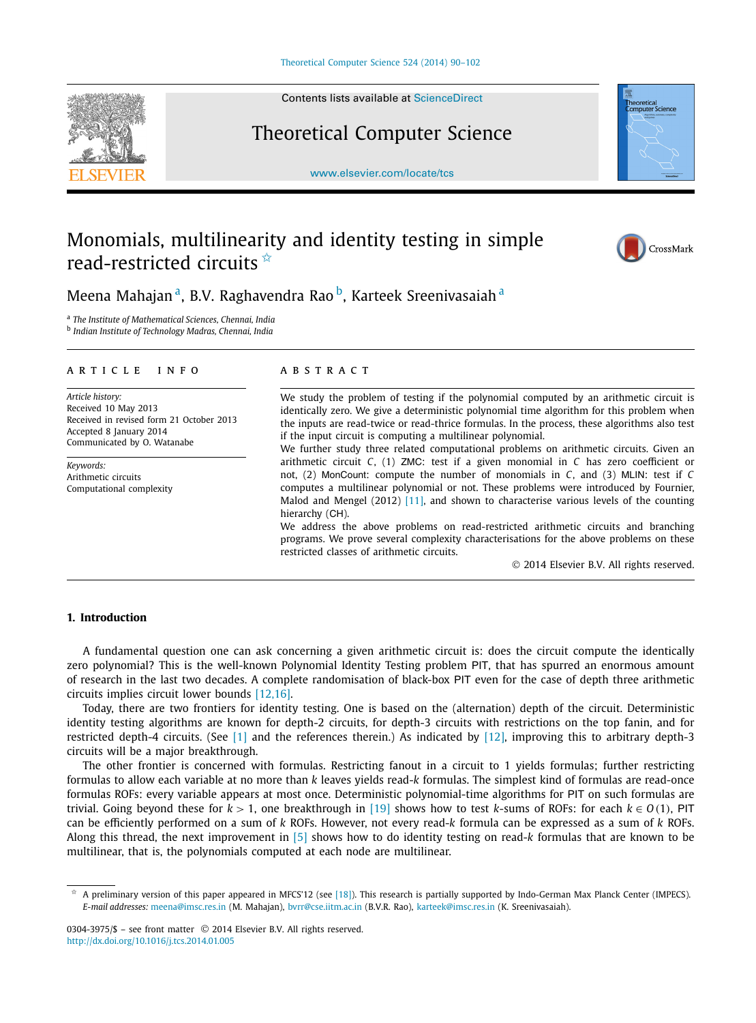

Contents lists available at [ScienceDirect](http://www.ScienceDirect.com/)

## Theoretical Computer Science

[www.elsevier.com/locate/tcs](http://www.elsevier.com/locate/tcs)



# Monomials, multilinearity and identity testing in simple read-restricted circuits  $\dot{\mathbf{x}}$



# Meena Mahajan<sup>a</sup>, B.V. Raghavendra Rao<sup>b</sup>, Karteek Sreenivasaiah<sup>a</sup>

<sup>a</sup> *The Institute of Mathematical Sciences, Chennai, India*

<sup>b</sup> *Indian Institute of Technology Madras, Chennai, India*

#### article info abstract

*Article history:* Received 10 May 2013 Received in revised form 21 October 2013 Accepted 8 January 2014 Communicated by O. Watanabe

*Keywords:* Arithmetic circuits Computational complexity

We study the problem of testing if the polynomial computed by an arithmetic circuit is identically zero. We give a deterministic polynomial time algorithm for this problem when the inputs are read-twice or read-thrice formulas. In the process, these algorithms also test if the input circuit is computing a multilinear polynomial.

We further study three related computational problems on arithmetic circuits. Given an arithmetic circuit *C*, (1) ZMC: test if a given monomial in *C* has zero coefficient or not, (2) MonCount: compute the number of monomials in *C*, and (3) MLIN: test if *C* computes a multilinear polynomial or not. These problems were introduced by Fournier, Malod and Mengel (2012) [\[11\],](#page-12-0) and shown to characterise various levels of the counting hierarchy (CH).

We address the above problems on read-restricted arithmetic circuits and branching programs. We prove several complexity characterisations for the above problems on these restricted classes of arithmetic circuits.

© 2014 Elsevier B.V. All rights reserved.

#### **1. Introduction**

A fundamental question one can ask concerning a given arithmetic circuit is: does the circuit compute the identically zero polynomial? This is the well-known Polynomial Identity Testing problem PIT, that has spurred an enormous amount of research in the last two decades. A complete randomisation of black-box PIT even for the case of depth three arithmetic circuits implies circuit lower bounds [\[12,16\].](#page-12-0)

Today, there are two frontiers for identity testing. One is based on the (alternation) depth of the circuit. Deterministic identity testing algorithms are known for depth-2 circuits, for depth-3 circuits with restrictions on the top fanin, and for restricted depth-4 circuits. (See [\[1\]](#page-11-0) and the references therein.) As indicated by [\[12\],](#page-12-0) improving this to arbitrary depth-3 circuits will be a major breakthrough.

The other frontier is concerned with formulas. Restricting fanout in a circuit to 1 yields formulas; further restricting formulas to allow each variable at no more than *k* leaves yields read-*k* formulas. The simplest kind of formulas are read-once formulas ROFs: every variable appears at most once. Deterministic polynomial-time algorithms for PIT on such formulas are trivial. Going beyond these for  $k > 1$ , one breakthrough in [\[19\]](#page-12-0) shows how to test *k*-sums of ROFs: for each  $k \in O(1)$ , PIT can be efficiently performed on a sum of *k* ROFs. However, not every read-*k* formula can be expressed as a sum of *k* ROFs. Along this thread, the next improvement in [\[5\]](#page-11-0) shows how to do identity testing on read-*k* formulas that are known to be multilinear, that is, the polynomials computed at each node are multilinear.

A preliminary version of this paper appeared in MFCS'12 (see [\[18\]\)](#page-12-0). This research is partially supported by Indo-German Max Planck Center (IMPECS). *E-mail addresses:* [meena@imsc.res.in](mailto:meena@imsc.res.in) (M. Mahajan), [bvrr@cse.iitm.ac.in](mailto:bvrr@cse.iitm.ac.in) (B.V.R. Rao), [karteek@imsc.res.in](mailto:karteek@imsc.res.in) (K. Sreenivasaiah).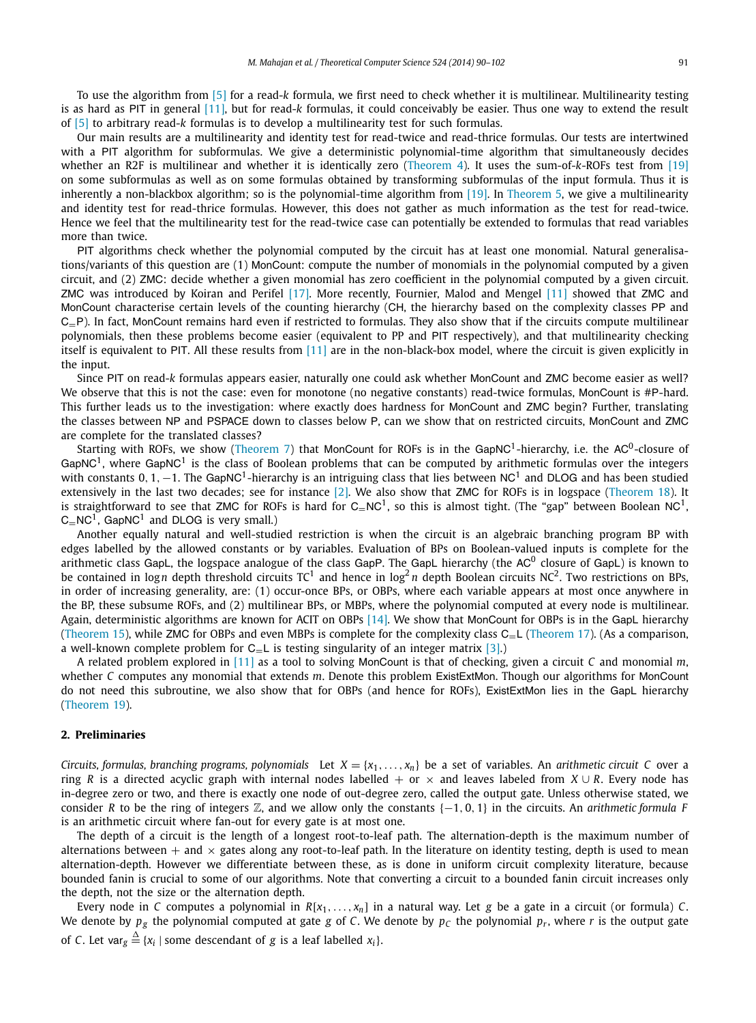To use the algorithm from [\[5\]](#page-11-0) for a read-*k* formula, we first need to check whether it is multilinear. Multilinearity testing is as hard as PIT in general [\[11\],](#page-12-0) but for read-*k* formulas, it could conceivably be easier. Thus one way to extend the result of [\[5\]](#page-11-0) to arbitrary read-*k* formulas is to develop a multilinearity test for such formulas.

Our main results are a multilinearity and identity test for read-twice and read-thrice formulas. Our tests are intertwined with a PIT algorithm for subformulas. We give a deterministic polynomial-time algorithm that simultaneously decides whether an R2F is multilinear and whether it is identically zero [\(Theorem 4\)](#page-3-0). It uses the sum-of-*k*-ROFs test from [\[19\]](#page-12-0) on some subformulas as well as on some formulas obtained by transforming subformulas of the input formula. Thus it is inherently a non-blackbox algorithm; so is the polynomial-time algorithm from [\[19\].](#page-12-0) In [Theorem 5,](#page-5-0) we give a multilinearity and identity test for read-thrice formulas. However, this does not gather as much information as the test for read-twice. Hence we feel that the multilinearity test for the read-twice case can potentially be extended to formulas that read variables more than twice.

PIT algorithms check whether the polynomial computed by the circuit has at least one monomial. Natural generalisations/variants of this question are (1) MonCount: compute the number of monomials in the polynomial computed by a given circuit, and (2) ZMC: decide whether a given monomial has zero coefficient in the polynomial computed by a given circuit. ZMC was introduced by Koiran and Perifel [\[17\].](#page-12-0) More recently, Fournier, Malod and Mengel [\[11\]](#page-12-0) showed that ZMC and MonCount characterise certain levels of the counting hierarchy (CH, the hierarchy based on the complexity classes PP and  $C_P$ ). In fact, MonCount remains hard even if restricted to formulas. They also show that if the circuits compute multilinear polynomials, then these problems become easier (equivalent to PP and PIT respectively), and that multilinearity checking itself is equivalent to PIT. All these results from [\[11\]](#page-12-0) are in the non-black-box model, where the circuit is given explicitly in the input.

Since PIT on read-*k* formulas appears easier, naturally one could ask whether MonCount and ZMC become easier as well? We observe that this is not the case: even for monotone (no negative constants) read-twice formulas, MonCount is #P-hard. This further leads us to the investigation: where exactly does hardness for MonCount and ZMC begin? Further, translating the classes between NP and PSPACE down to classes below P, can we show that on restricted circuits, MonCount and ZMC are complete for the translated classes?

Starting with ROFs, we show [\(Theorem 7\)](#page-6-0) that MonCount for ROFs is in the GapNC<sup>1</sup>-hierarchy, i.e. the AC<sup>0</sup>-closure of GapNC<sup>1</sup>, where GapNC<sup>1</sup> is the class of Boolean problems that can be computed by arithmetic formulas over the integers with constants 0, 1, −1. The GapNC<sup>1</sup>-hierarchy is an intriguing class that lies between NC<sup>1</sup> and DLOG and has been studied extensively in the last two decades; see for instance [\[2\].](#page-11-0) We also show that ZMC for ROFs is in logspace [\(Theorem 18\)](#page-9-0). It is straightforward to see that ZMC for ROFs is hard for  $C=NC^1$ , so this is almost tight. (The "gap" between Boolean NC<sup>1</sup>,  $C=NC<sup>1</sup>$ , GapNC<sup>1</sup> and DLOG is very small.)

Another equally natural and well-studied restriction is when the circuit is an algebraic branching program BP with edges labelled by the allowed constants or by variables. Evaluation of BPs on Boolean-valued inputs is complete for the arithmetic class GapL, the logspace analogue of the class GapP. The GapL hierarchy (the AC<sup>0</sup> closure of GapL) is known to be contained in log<sub>n</sub> depth threshold circuits TC<sup>1</sup> and hence in log<sup>2</sup> *n* depth Boolean circuits NC<sup>2</sup>. Two restrictions on BPs, in order of increasing generality, are: (1) occur-once BPs, or OBPs, where each variable appears at most once anywhere in the BP, these subsume ROFs, and (2) multilinear BPs, or MBPs, where the polynomial computed at every node is multilinear. Again, deterministic algorithms are known for ACIT on OBPs [\[14\].](#page-12-0) We show that MonCount for OBPs is in the GapL hierarchy [\(Theorem 15\)](#page-8-0), while ZMC for OBPs and even MBPs is complete for the complexity class  $C=L$  [\(Theorem 17\)](#page-9-0). (As a comparison, a well-known complete problem for  $C_{=}L$  is testing singularity of an integer matrix [\[3\].](#page-11-0))

A related problem explored in [\[11\]](#page-12-0) as a tool to solving MonCount is that of checking, given a circuit *C* and monomial *m*, whether *C* computes any monomial that extends *m*. Denote this problem ExistExtMon. Though our algorithms for MonCount do not need this subroutine, we also show that for OBPs (and hence for ROFs), ExistExtMon lies in the GapL hierarchy [\(Theorem 19\)](#page-10-0).

### **2. Preliminaries**

*Circuits, formulas, branching programs, polynomials* Let  $X = \{x_1, \ldots, x_n\}$  be a set of variables. An *arithmetic circuit C* over a ring *R* is a directed acyclic graph with internal nodes labelled + or  $\times$  and leaves labeled from *X* ∪ *R*. Every node has in-degree zero or two, and there is exactly one node of out-degree zero, called the output gate. Unless otherwise stated, we consider *R* to be the ring of integers Z, and we allow only the constants {−1*,* 0*,* 1} in the circuits. An *arithmetic formula F* is an arithmetic circuit where fan-out for every gate is at most one.

The depth of a circuit is the length of a longest root-to-leaf path. The alternation-depth is the maximum number of alternations between  $+$  and  $\times$  gates along any root-to-leaf path. In the literature on identity testing, depth is used to mean alternation-depth. However we differentiate between these, as is done in uniform circuit complexity literature, because bounded fanin is crucial to some of our algorithms. Note that converting a circuit to a bounded fanin circuit increases only the depth, not the size or the alternation depth.

Every node in *C* computes a polynomial in  $R[x_1, \ldots, x_n]$  in a natural way. Let *g* be a gate in a circuit (or formula) *C*. We denote by  $p_g$  the polynomial computed at gate *g* of *C*. We denote by  $p_c$  the polynomial  $p_r$ , where *r* is the output gate of *C*. Let var $_{g} \stackrel{\Delta}{=} \{x_i \mid$  some descendant of  $g$  is a leaf labelled  $x_i\}$ .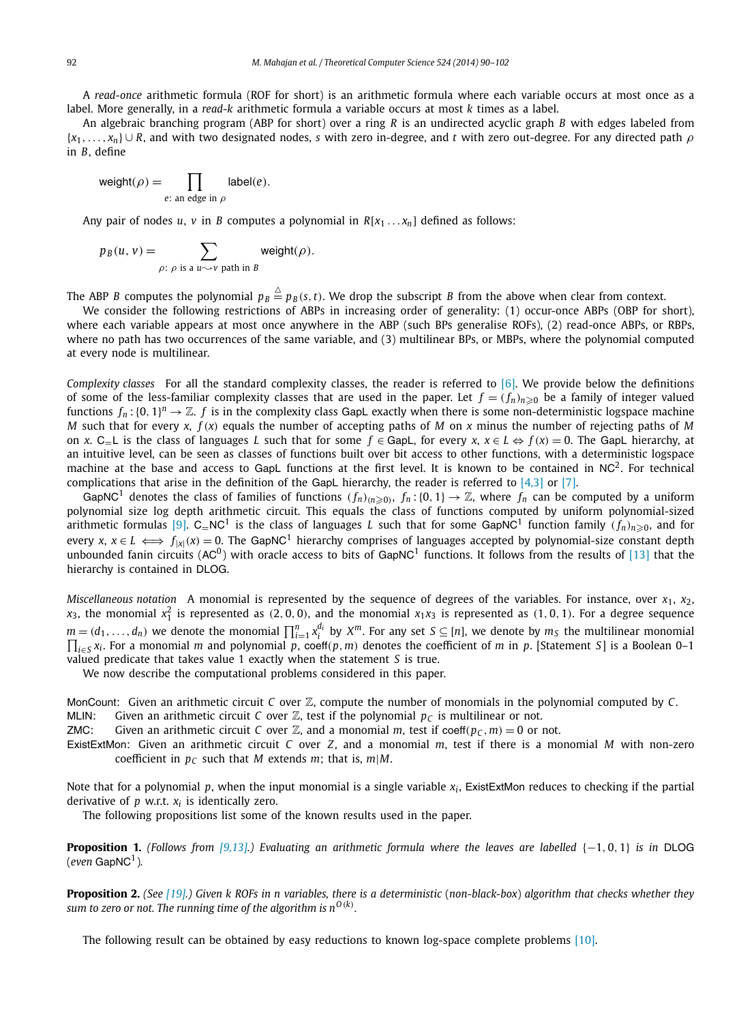<span id="page-2-0"></span>A *read-once* arithmetic formula (ROF for short) is an arithmetic formula where each variable occurs at most once as a label. More generally, in a *read*-*k* arithmetic formula a variable occurs at most *k* times as a label.

An algebraic branching program (ABP for short) over a ring *R* is an undirected acyclic graph *B* with edges labeled from {*x*1*,..., xn*} ∪ *R*, and with two designated nodes, *s* with zero in-degree, and *t* with zero out-degree. For any directed path *ρ* in *B*, define

$$
\text{weight}(\rho) = \prod_{e \colon \text{an edge in } \rho} \text{label}(e).
$$

Any pair of nodes *u*, *v* in *B* computes a polynomial in  $R[x_1 \ldots x_n]$  defined as follows:

$$
p_B(u, v) = \sum_{\rho: \ \rho \text{ is a } u \sim v \text{ path in } B} \text{weight}(\rho).
$$

The ABP *B* computes the polynomial  $p_B \stackrel{\triangle}{=} p_B(s,t)$ . We drop the subscript *B* from the above when clear from context.

We consider the following restrictions of ABPs in increasing order of generality: (1) occur-once ABPs (OBP for short), where each variable appears at most once anywhere in the ABP (such BPs generalise ROFs), (2) read-once ABPs, or RBPs, where no path has two occurrences of the same variable, and (3) multilinear BPs, or MBPs, where the polynomial computed at every node is multilinear.

*Complexity classes* For all the standard complexity classes, the reader is referred to [\[6\].](#page-11-0) We provide below the definitions of some of the less-familiar complexity classes that are used in the paper. Let  $f = (f_n)_{n\geqslant0}$  be a family of integer valued functions  $f_n$ :  $[0,1]^n \to \mathbb{Z}$ .  $f$  is in the complexity class GapL exactly when there is some non-deterministic logspace machine *M* such that for every *x*, *f (x)* equals the number of accepting paths of *M* on *x* minus the number of rejecting paths of *M* on *x*. C=L is the class of languages *L* such that for some *f* ∈ GapL, for every *x*, *x* ∈ *L* ⇔ *f (x)* = 0. The GapL hierarchy, at an intuitive level, can be seen as classes of functions built over bit access to other functions, with a deterministic logspace machine at the base and access to GapL functions at the first level. It is known to be contained in  $NC<sup>2</sup>$ . For technical complications that arise in the definition of the GapL hierarchy, the reader is referred to  $[4,3]$  or  $[7]$ .

GapNC<sup>1</sup> denotes the class of families of functions  $(f_n)_{(n\geq 0)}$ ,  $f_n$ : {0, 1}  $\to \mathbb{Z}$ , where  $f_n$  can be computed by a uniform polynomial size log depth arithmetic circuit. This equals the class of functions computed by uniform polynomial-sized arithmetic formulas [\[9\].](#page-11-0)  $C=NC^1$  is the class of languages *L* such that for some GapNC<sup>1</sup> function family  $(f_n)_{n\geqslant0}$ , and for every *x*,  $x \in L \iff f_{|x|}(x) = 0$ . The GapNC<sup>1</sup> hierarchy comprises of languages accepted by polynomial-size constant depth unbounded fanin circuits  $(AC^0)$  with oracle access to bits of GapNC<sup>1</sup> functions. It follows from the results of [\[13\]](#page-12-0) that the hierarchy is contained in DLOG.

*Miscellaneous notation* A monomial is represented by the sequence of degrees of the variables. For instance, over *x*1, *x*2,  $x_3$ , the monomial  $x_1^2$  is represented as  $(2,0,0)$ , and the monomial  $x_1x_3$  is represented as  $(1,0,1)$ . For a degree sequence  $m = (d_1, \ldots, d_n)$  we denote the monomial  $\prod_{i=1}^n x_i^{d_i}$  by  $X^m$ . For any set  $S \subseteq [n]$ , we denote by  $m_S$  the multilinear monomial *<sup>i</sup>*∈*<sup>S</sup> xi* . For a monomial *m* and polynomial *p*, coeff*(p,m)* denotes the coefficient of *m* in *p*. [Statement *S*] is a Boolean 0–1 valued predicate that takes value 1 exactly when the statement *S* is true.

We now describe the computational problems considered in this paper.

MonCount: Given an arithmetic circuit *C* over Z, compute the number of monomials in the polynomial computed by *C*. MLIN: Given an arithmetic circuit *C* over  $\mathbb{Z}$ , test if the polynomial  $p_C$  is multilinear or not.

ZMC: Given an arithmetic circuit *C* over  $\mathbb{Z}$ , and a monomial *m*, test if coeff( $p<sub>C</sub>$ , *m*) = 0 or not.

ExistExtMon: Given an arithmetic circuit *C* over *Z*, and a monomial *m*, test if there is a monomial *M* with non-zero coefficient in  $p_C$  such that *M* extends *m*; that is, *m*|*M*.

Note that for a polynomial p, when the input monomial is a single variable  $x_i$ , ExistExtMon reduces to checking if the partial derivative of *p* w.r.t. *xi* is identically zero.

The following propositions list some of the known results used in the paper.

**Proposition 1.** *(Follows from [\[9,13\].](#page-11-0)) Evaluating an arithmetic formula where the leaves are labelled* {−1*,* 0*,* 1} *is in* DLOG  $(even$  GapNC<sup>1</sup>).

**Proposition 2.** *(See* [\[19\].](#page-12-0)) Given k ROFs in n variables, there is a deterministic (non-black-box) algorithm that checks whether they *sum to zero or not. The running time of the algorithm is*  $n^{O(k)}$ *.* 

The following result can be obtained by easy reductions to known log-space complete problems [\[10\].](#page-12-0)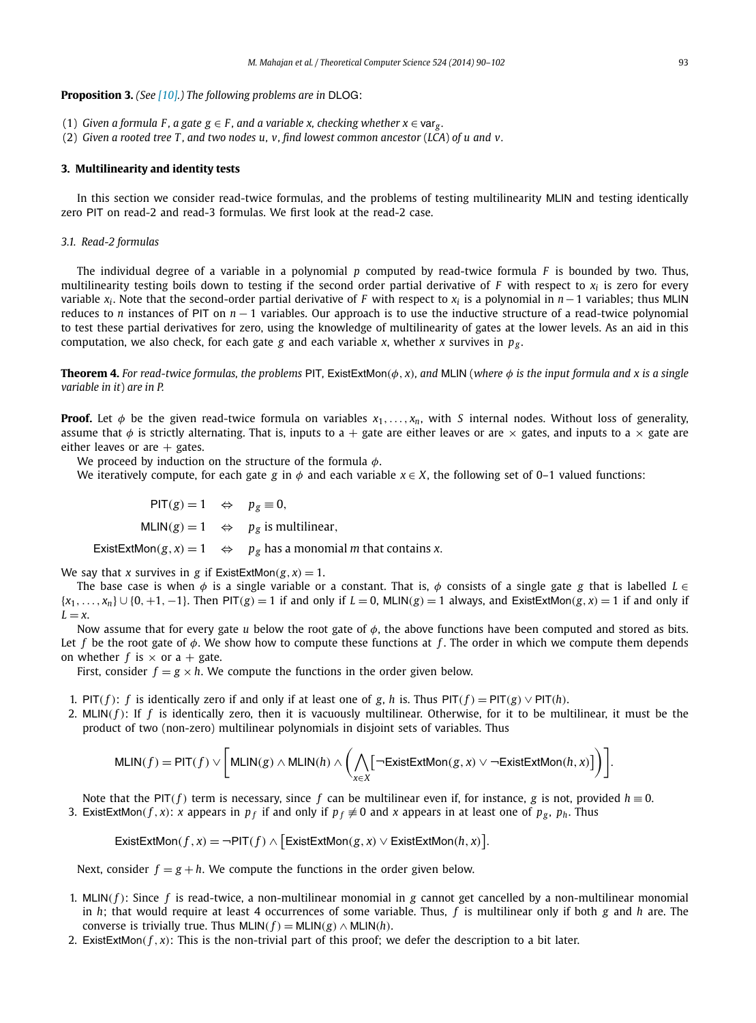#### <span id="page-3-0"></span>**Proposition 3.** *(See [\[10\].](#page-12-0)) The following problems are in* DLOG:

- (1) *Given a formula F, a gate*  $g \in F$ *, and a variable x, checking whether*  $x \in \text{var}_g$ *.*
- (2) *Given a rooted tree T , and two nodes u, v, find lowest common ancestor* (*LCA*) *of u and v.*

#### **3. Multilinearity and identity tests**

In this section we consider read-twice formulas, and the problems of testing multilinearity MLIN and testing identically zero PIT on read-2 and read-3 formulas. We first look at the read-2 case.

### *3.1. Read-2 formulas*

The individual degree of a variable in a polynomial *p* computed by read-twice formula *F* is bounded by two. Thus, multilinearity testing boils down to testing if the second order partial derivative of *F* with respect to *xi* is zero for every variable *xi* . Note that the second-order partial derivative of *F* with respect to *xi* is a polynomial in *n*−1 variables; thus MLIN reduces to *n* instances of PIT on *n* − 1 variables. Our approach is to use the inductive structure of a read-twice polynomial to test these partial derivatives for zero, using the knowledge of multilinearity of gates at the lower levels. As an aid in this computation, we also check, for each gate *g* and each variable *x*, whether *x* survives in  $p_{\varphi}$ .

**Theorem 4.** *For read-twice formulas, the problems* PIT*,* ExistExtMon*(φ, x), and* MLIN (*where φ is the input formula and x is a single variable in it*) *are in P.*

**Proof.** Let  $\phi$  be the given read-twice formula on variables  $x_1, \ldots, x_n$ , with *S* internal nodes. Without loss of generality, assume that  $\phi$  is strictly alternating. That is, inputs to a + gate are either leaves or are  $\times$  gates, and inputs to a  $\times$  gate are either leaves or are  $+$  gates.

We proceed by induction on the structure of the formula *φ*.

We iteratively compute, for each gate *g* in  $\phi$  and each variable  $x \in X$ , the following set of 0–1 valued functions:

 $PIT(g) = 1 \Leftrightarrow p_g \equiv 0$ ,  $MLIN(g) = 1 \Leftrightarrow p_g$  is multilinear,

ExistExtMon( $g$ ,  $x$ ) = 1  $\Leftrightarrow$   $p_g$  has a monomial *m* that contains *x*.

We say that *x* survives in *g* if ExistExtMon( $g$ ,  $x$ ) = 1.

The base case is when  $\phi$  is a single variable or a constant. That is,  $\phi$  consists of a single gate *g* that is labelled *L* ∈  $\{x_1, \ldots, x_n\} \cup \{0, +1, -1\}$ . Then PIT(g) = 1 if and only if  $L = 0$ , MLIN(g) = 1 always, and ExistExtMon(g, x) = 1 if and only if  $L = x$ .

Now assume that for every gate *u* below the root gate of *φ*, the above functions have been computed and stored as bits. Let *f* be the root gate of *φ*. We show how to compute these functions at *f* . The order in which we compute them depends on whether  $f$  is  $\times$  or a + gate.

First, consider  $f = g \times h$ . We compute the functions in the order given below.

- 1. PIT( $f$ ):  $f$  is identically zero if and only if at least one of  $g$ ,  $h$  is. Thus PIT( $f$ ) = PIT( $g$ )  $\vee$  PIT( $h$ ).
- 2. MLIN $(f)$ : If  $f$  is identically zero, then it is vacuously multilinear. Otherwise, for it to be multilinear, it must be the product of two (non-zero) multilinear polynomials in disjoint sets of variables. Thus

$$
\mathsf{MLIN}(f) = \mathsf{PIT}(f) \vee \bigg[\mathsf{MLIN}(g) \wedge \mathsf{MLIN}(h) \wedge \bigg(\bigwedge_{x \in X} \big[\neg \mathsf{ExistExtMon}(g,x) \vee \neg \mathsf{ExistExtMon}(h,x)\big]\bigg)\bigg].
$$

Note that the PIT(*f*) term is necessary, since *f* can be multilinear even if, for instance, *g* is not, provided  $h \equiv 0$ . 3. ExistExtMon(*f*, *x*): *x* appears in  $p_f$  if and only if  $p_f \neq 0$  and *x* appears in at least one of  $p_g$ ,  $p_h$ . Thus

$$
\text{ExistExtMon}(f, x) = \neg \text{PIT}(f) \land \big[\text{ExistExtMon}(g, x) \lor \text{ExistExtMon}(h, x)\big].
$$

Next, consider  $f = g + h$ . We compute the functions in the order given below.

- 1. MLIN $(f)$ : Since  $f$  is read-twice, a non-multilinear monomial in  $g$  cannot get cancelled by a non-multilinear monomial in *h*; that would require at least 4 occurrences of some variable. Thus, *f* is multilinear only if both *g* and *h* are. The converse is trivially true. Thus  $MLIN(f) = MLIN(g) \wedge MLIN(h)$ .
- 2. ExistExtMon( $f, x$ ): This is the non-trivial part of this proof; we defer the description to a bit later.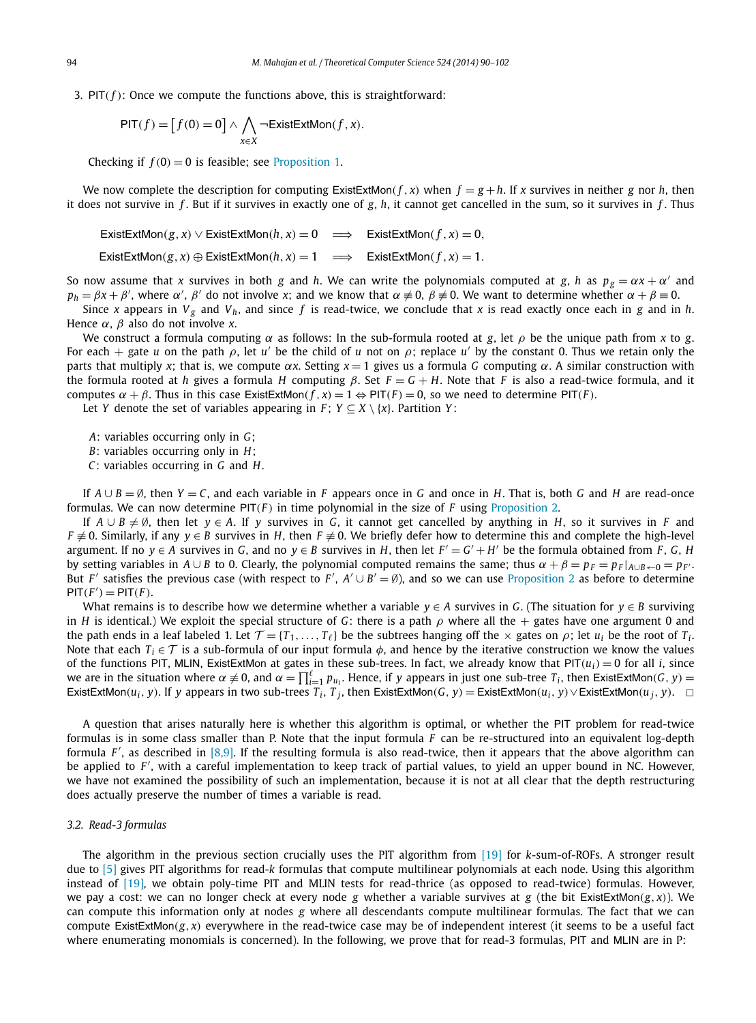3.  $PIT(f)$ : Once we compute the functions above, this is straightforward:

$$
\mathsf{PIT}(f) = [f(0) = 0] \land \bigwedge_{x \in X} \neg \mathsf{ExistExtMon}(f, x).
$$

Checking if  $f(0) = 0$  is feasible; see [Proposition 1.](#page-2-0)

We now complete the description for computing ExistExtMon( $f$ ,  $x$ ) when  $f = g + h$ . If  $x$  survives in neither  $g$  nor  $h$ , then it does not survive in *f* . But if it survives in exactly one of *g*, *h*, it cannot get cancelled in the sum, so it survives in *f* . Thus

ExistExtMon*(g, x)* ∨ ExistExtMon*(h, x)* = 0 ⇒ ExistExtMon*(f , x)* = 0*,* ExistExtMon $(g, x) \oplus$ ExistExtMon $(h, x) = 1 \implies$ ExistExtMon $(f, x) = 1$ .

So now assume that *x* survives in both *g* and *h*. We can write the polynomials computed at *g*, *h* as  $p_g = \alpha x + \alpha'$  and  $p_h=\beta x+\beta'$ , where  $\alpha'$ ,  $\beta'$  do not involve *x*; and we know that  $\alpha\neq0$ ,  $\beta\neq0$ . We want to determine whether  $\alpha+\beta\equiv0$ .

Since *x* appears in  $V_g$  and  $V_h$ , and since *f* is read-twice, we conclude that *x* is read exactly once each in *g* and in *h*. Hence *α*, *β* also do not involve *x*.

We construct a formula computing *α* as follows: In the sub-formula rooted at *g*, let *ρ* be the unique path from *x* to *g*. For each  $+$  gate *u* on the path  $\rho$ , let *u'* be the child of *u* not on  $\rho$ ; replace *u'* by the constant 0. Thus we retain only the parts that multiply *x*; that is, we compute *αx*. Setting *x* = 1 gives us a formula *G* computing *α*. A similar construction with the formula rooted at *h* gives a formula *H* computing *β*. Set  $F = G + H$ . Note that *F* is also a read-twice formula, and it computes  $\alpha + \beta$ . Thus in this case ExistExtMon( $f$ ,  $\alpha$ ) = 1  $\Leftrightarrow$  PIT( $F$ ) = 0, so we need to determine PIT( $F$ ).

Let *Y* denote the set of variables appearing in *F*;  $Y \subseteq X \setminus \{x\}$ . Partition *Y*:

*A*: variables occurring only in *G*;

*B*: variables occurring only in *H*;

*C*: variables occurring in *G* and *H*.

If *A* ∪ *B* = ∅, then *Y* = *C*, and each variable in *F* appears once in *G* and once in *H*. That is, both *G* and *H* are read-once formulas. We can now determine  $PIT(F)$  in time polynomial in the size of *F* using [Proposition 2.](#page-2-0)

If  $A \cup B \neq \emptyset$ , then let  $y \in A$ . If *y* survives in *G*, it cannot get cancelled by anything in *H*, so it survives in *F* and *F*  $\neq$  0. Similarly, if any *y* ∈ *B* survives in *H*, then *F*  $\neq$  0. We briefly defer how to determine this and complete the high-level argument. If no  $y \in A$  survives in *G*, and no  $y \in B$  survives in *H*, then let  $F' = G' + H'$  be the formula obtained from *F*, *G*, *H* by setting variables in  $A \cup B$  to 0. Clearly, the polynomial computed remains the same; thus  $\alpha + \beta = p_F = p_F|_{A \cup B \leftarrow 0} = p_F$ . But *F'* satisfies the previous case (with respect to *F'*,  $A' \cup B' = \emptyset$ ), and so we can use [Proposition 2](#page-2-0) as before to determine  $PIT(F') = PIT(F)$ .

What remains is to describe how we determine whether a variable *y* ∈ *A* survives in *G*. (The situation for *y* ∈ *B* surviving in *H* is identical.) We exploit the special structure of *G*: there is a path  $\rho$  where all the  $+$  gates have one argument 0 and the path ends in a leaf labeled 1. Let  $\mathcal{T} = \{T_1, \ldots, T_\ell\}$  be the subtrees hanging off the  $\times$  gates on  $\rho$ ; let  $u_i$  be the root of  $T_i$ . Note that each  $T_i \in \mathcal{T}$  is a sub-formula of our input formula  $\phi$ , and hence by the iterative construction we know the values of the functions PIT, MLIN, ExistExtMon at gates in these sub-trees. In fact, we already know that  $PIT(u_i) = 0$  for all *i*, since we are in the situation where  $\alpha \neq 0$ , and  $\alpha = \prod_{i=1}^{\ell} p_{u_i}$ . Hence, if *y* appears in just one sub-tree  $T_i$ , then ExistExtMon(*G*, *y*) = ExistExtMon( $u_i$ , y). If y appears in two sub-trees  $T_i$ ,  $T_j$ , then ExistExtMon( $G$ , y) = ExistExtMon( $u_i$ , y)  $\vee$  ExistExtMon( $u_i$ , y).  $\Box$ 

A question that arises naturally here is whether this algorithm is optimal, or whether the PIT problem for read-twice formulas is in some class smaller than P. Note that the input formula *F* can be re-structured into an equivalent log-depth formula  $F'$ , as described in  $[8,9]$ . If the resulting formula is also read-twice, then it appears that the above algorithm can be applied to  $F'$ , with a careful implementation to keep track of partial values, to yield an upper bound in NC. However, we have not examined the possibility of such an implementation, because it is not at all clear that the depth restructuring does actually preserve the number of times a variable is read.

#### *3.2. Read-3 formulas*

The algorithm in the previous section crucially uses the PIT algorithm from [\[19\]](#page-12-0) for *k*-sum-of-ROFs. A stronger result due to [\[5\]](#page-11-0) gives PIT algorithms for read-*k* formulas that compute multilinear polynomials at each node. Using this algorithm instead of [\[19\],](#page-12-0) we obtain poly-time PIT and MLIN tests for read-thrice (as opposed to read-twice) formulas. However, we pay a cost: we can no longer check at every node *g* whether a variable survives at *g* (the bit ExistExtMon $(g, x)$ ). We can compute this information only at nodes *g* where all descendants compute multilinear formulas. The fact that we can compute ExistExtMon*(g, x)* everywhere in the read-twice case may be of independent interest (it seems to be a useful fact where enumerating monomials is concerned). In the following, we prove that for read-3 formulas, PIT and MLIN are in P: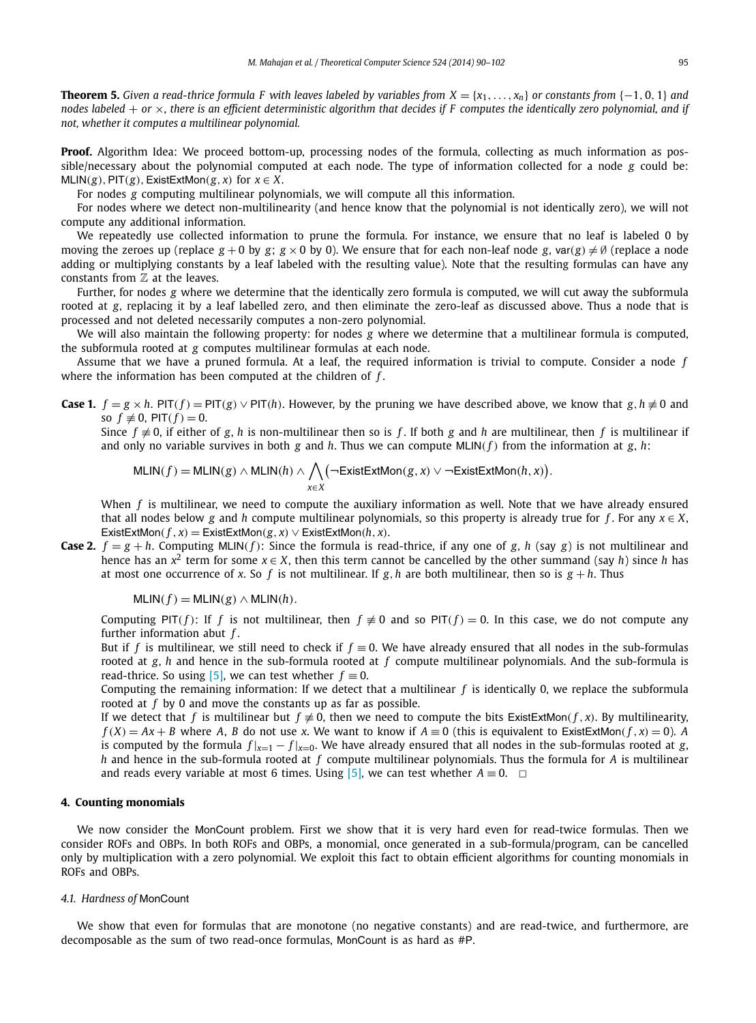<span id="page-5-0"></span>**Theorem 5.** Given a read-thrice formula F with leaves labeled by variables from  $X = \{x_1, \ldots, x_n\}$  or constants from  $\{-1, 0, 1\}$  and *nodes labeled* + *or* ×*, there is an efficient deterministic algorithm that decides if F computes the identically zero polynomial, and if not, whether it computes a multilinear polynomial.*

**Proof.** Algorithm Idea: We proceed bottom-up, processing nodes of the formula, collecting as much information as possible/necessary about the polynomial computed at each node. The type of information collected for a node *g* could be:  $MLIN(g)$ ,  $PIT(g)$ , ExistExtMon $(g, x)$  for  $x \in X$ .

For nodes *g* computing multilinear polynomials, we will compute all this information.

For nodes where we detect non-multilinearity (and hence know that the polynomial is not identically zero), we will not compute any additional information.

We repeatedly use collected information to prune the formula. For instance, we ensure that no leaf is labeled 0 by moving the zeroes up (replace  $g + 0$  by  $g$ ;  $g \times 0$  by 0). We ensure that for each non-leaf node g,  $var(g) \neq \emptyset$  (replace a node adding or multiplying constants by a leaf labeled with the resulting value). Note that the resulting formulas can have any constants from  $Z$  at the leaves.

Further, for nodes *g* where we determine that the identically zero formula is computed, we will cut away the subformula rooted at *g*, replacing it by a leaf labelled zero, and then eliminate the zero-leaf as discussed above. Thus a node that is processed and not deleted necessarily computes a non-zero polynomial.

We will also maintain the following property: for nodes *g* where we determine that a multilinear formula is computed, the subformula rooted at *g* computes multilinear formulas at each node.

Assume that we have a pruned formula. At a leaf, the required information is trivial to compute. Consider a node *f* where the information has been computed at the children of *f* .

**Case 1.**  $f = g \times h$ . PIT(f) = PIT(g)  $\vee$  PIT(h). However, by the pruning we have described above, we know that  $g, h \neq 0$  and so  $f \not\equiv 0$ ,  $PIT(f) = 0$ .

Since  $f \neq 0$ , if either of *g*, *h* is non-multilinear then so is *f*. If both *g* and *h* are multilinear, then *f* is multilinear if and only no variable survives in both *g* and *h*. Thus we can compute MLIN(*f*) from the information at *g*, *h*:

$$
\mathsf{MLIN}(f) = \mathsf{MLIN}(g) \land \mathsf{MLIN}(h) \land \bigwedge_{x \in X} \left( \neg \mathsf{ExistExtMon}(g, x) \lor \neg \mathsf{ExistExtMon}(h, x) \right).
$$

When *f* is multilinear, we need to compute the auxiliary information as well. Note that we have already ensured that all nodes below g and *h* compute multilinear polynomials, so this property is already true for *f*. For any  $x \in X$ , ExistExtMon( $f$ ,  $x$ ) = ExistExtMon( $g$ ,  $x$ )  $\vee$  ExistExtMon( $h$ ,  $x$ ).

**Case 2.**  $f = g + h$ . Computing MLIN(*f*): Since the formula is read-thrice, if any one of *g*, *h* (say *g*) is not multilinear and hence has an  $x^2$  term for some  $x \in X$ , then this term cannot be cancelled by the other summand (say *h*) since *h* has at most one occurrence of *x*. So f is not multilinear. If  $g$ ,  $h$  are both multilinear, then so is  $g + h$ . Thus

 $MLIN(f) = MLIN(g) \wedge MLIN(h)$ .

Computing PIT(*f*): If *f* is not multilinear, then  $f \neq 0$  and so PIT(*f*) = 0. In this case, we do not compute any further information abut *f* .

But if *f* is multilinear, we still need to check if *f* ≡ 0. We have already ensured that all nodes in the sub-formulas rooted at *g*, *h* and hence in the sub-formula rooted at *f* compute multilinear polynomials. And the sub-formula is read-thrice. So using [\[5\],](#page-11-0) we can test whether  $f \equiv 0$ .

Computing the remaining information: If we detect that a multilinear *f* is identically 0, we replace the subformula rooted at *f* by 0 and move the constants up as far as possible.

If we detect that *f* is multilinear but  $f \neq 0$ , then we need to compute the bits ExistExtMon(*f*, *x*). By multilinearity,  $f(X) = Ax + B$  where A, B do not use x. We want to know if  $A \equiv 0$  (this is equivalent to ExistExtMon(f, x) = 0). A is computed by the formula  $f |_{x=1} - f |_{x=0}$ . We have already ensured that all nodes in the sub-formulas rooted at *g*, *h* and hence in the sub-formula rooted at *f* compute multilinear polynomials. Thus the formula for *A* is multilinear and reads every variable at most 6 times. Using [\[5\],](#page-11-0) we can test whether  $A \equiv 0$ .  $\Box$ 

### **4. Counting monomials**

We now consider the MonCount problem. First we show that it is very hard even for read-twice formulas. Then we consider ROFs and OBPs. In both ROFs and OBPs, a monomial, once generated in a sub-formula/program, can be cancelled only by multiplication with a zero polynomial. We exploit this fact to obtain efficient algorithms for counting monomials in ROFs and OBPs.

#### *4.1. Hardness of* MonCount

We show that even for formulas that are monotone (no negative constants) and are read-twice, and furthermore, are decomposable as the sum of two read-once formulas, MonCount is as hard as #P.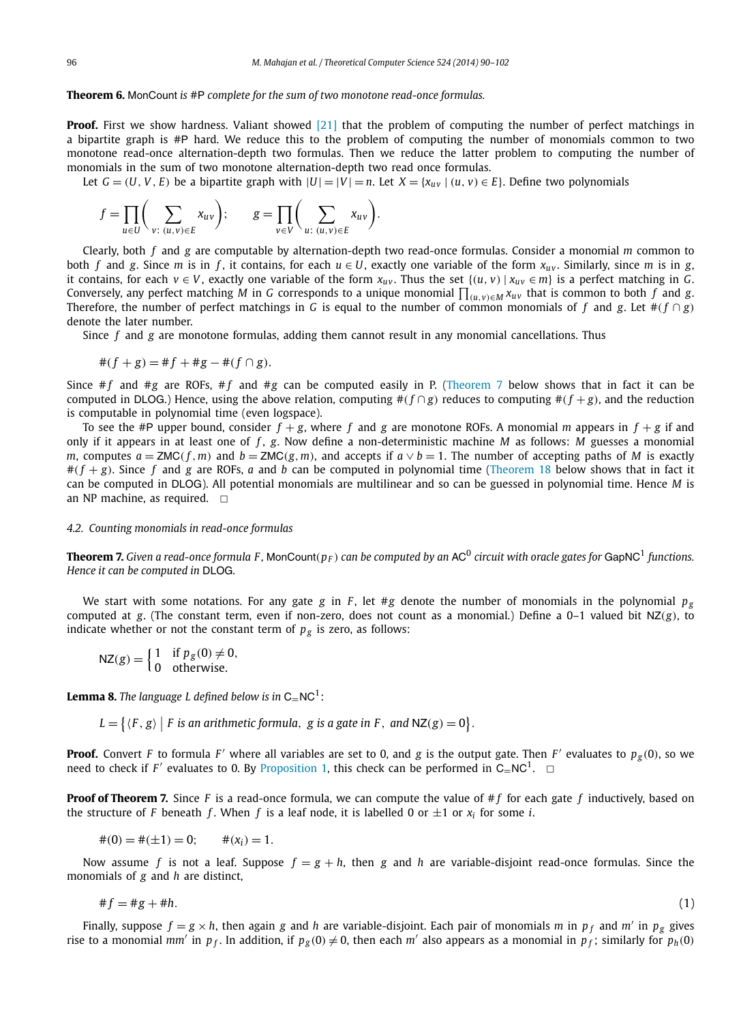#### <span id="page-6-0"></span>**Theorem 6.** MonCount *is* #P *complete for the sum of two monotone read-once formulas.*

**Proof.** First we show hardness. Valiant showed [\[21\]](#page-12-0) that the problem of computing the number of perfect matchings in a bipartite graph is #P hard. We reduce this to the problem of computing the number of monomials common to two monotone read-once alternation-depth two formulas. Then we reduce the latter problem to computing the number of monomials in the sum of two monotone alternation-depth two read once formulas.

Let  $G = (U, V, E)$  be a bipartite graph with  $|U| = |V| = n$ . Let  $X = \{x_{uv} | (u, v) \in E\}$ . Define two polynomials

$$
f = \prod_{u \in U} \left( \sum_{v: (u,v) \in E} x_{uv} \right); \qquad g = \prod_{v \in V} \left( \sum_{u: (u,v) \in E} x_{uv} \right).
$$

Clearly, both *f* and *g* are computable by alternation-depth two read-once formulas. Consider a monomial *m* common to both *f* and *g*. Since *m* is in *f*, it contains, for each  $u \in U$ , exactly one variable of the form  $x_{uv}$ . Similarly, since *m* is in *g*, *it* contains, for each *v* ∈ *V*, exactly one variable of the form  $x_{uv}$ . Thus the set  ${(u, v) | x_{uv} ∈ m}$  is a perfect matching in *G*. Conversely, any perfect matching M in G corresponds to a unique monomial  $\prod_{(u,v)\in M} x_{uv}$  that is common to both  $f$  and  $g$ . Therefore, the number of perfect matchings in *G* is equal to the number of common monomials of *f* and *g*. Let  $#(f \cap g)$ denote the later number.

Since *f* and *g* are monotone formulas, adding them cannot result in any monomial cancellations. Thus

$$
#(f+g) = #f + #g - #(f \cap g).
$$

Since  $#f$  and  $#g$  are ROFs,  $#f$  and  $#g$  can be computed easily in P. (Theorem 7 below shows that in fact it can be computed in DLOG.) Hence, using the above relation, computing  $\#(f \cap g)$  reduces to computing  $\#(f + g)$ , and the reduction is computable in polynomial time (even logspace).

To see the #P upper bound, consider  $f + g$ , where f and g are monotone ROFs. A monomial m appears in  $f + g$  if and only if it appears in at least one of *f* , *g*. Now define a non-deterministic machine *M* as follows: *M* guesses a monomial m, computes  $a = ZMC(f, m)$  and  $b = ZMC(g, m)$ , and accepts if  $a \vee b = 1$ . The number of accepting paths of M is exactly  $#(f + g)$ . Since f and g are ROFs, a and b can be computed in polynomial time [\(Theorem 18](#page-9-0) below shows that in fact it can be computed in DLOG). All potential monomials are multilinear and so can be guessed in polynomial time. Hence *M* is an NP machine, as required.  $\Box$ 

#### *4.2. Counting monomials in read-once formulas*

**Theorem 7.** Given a read-once formula F, MonCount( $p_F$ ) can be computed by an AC<sup>0</sup> circuit with oracle gates for GapNC<sup>1</sup> functions. *Hence it can be computed in* DLOG*.*

We start with some notations. For any gate *g* in *F*, let #*g* denote the number of monomials in the polynomial  $p_g$ computed at *g*. (The constant term, even if non-zero, does not count as a monomial.) Define a 0–1 valued bit NZ*(g)*, to indicate whether or not the constant term of  $p_g$  is zero, as follows:

$$
NZ(g) = \begin{cases} 1 & \text{if } p_g(0) \neq 0, \\ 0 & \text{otherwise.} \end{cases}
$$

**Lemma 8.** The language L defined below is in  $C=NC<sup>1</sup>$ :

 $L = \{ \langle F, g \rangle \mid F \text{ is an arithmetic formula, } g \text{ is a gate in } F, \text{ and } \mathsf{NZ}(g) = 0 \}.$ 

**Proof.** Convert *F* to formula *F'* where all variables are set to 0, and *g* is the output gate. Then *F'* evaluates to  $p_g(0)$ , so we need to check if *F'* evaluates to 0. By [Proposition 1,](#page-2-0) this check can be performed in  $C=NC^1$ .  $\Box$ 

**Proof of Theorem 7.** Since *F* is a read-once formula, we can compute the value of # *f* for each gate *f* inductively, based on the structure of *F* beneath *f*. When *f* is a leaf node, it is labelled 0 or  $\pm$ 1 or  $x_i$  for some *i*.

$$
\#(0) = \#(\pm 1) = 0; \qquad \#(x_i) = 1.
$$

Now assume *f* is not a leaf. Suppose  $f = g + h$ , then *g* and *h* are variable-disjoint read-once formulas. Since the monomials of *g* and *h* are distinct,

$$
\#f = \#g + \#h. \tag{1}
$$

Finally, suppose  $f = g \times h$ , then again g and h are variable-disjoint. Each pair of monomials m in  $p_f$  and m' in  $p_g$  gives rise to a monomial *mm'* in  $p_f$ . In addition, if  $p_g(0) \neq 0$ , then each *m'* also appears as a monomial in  $p_f$ ; similarly for  $p_h(0)$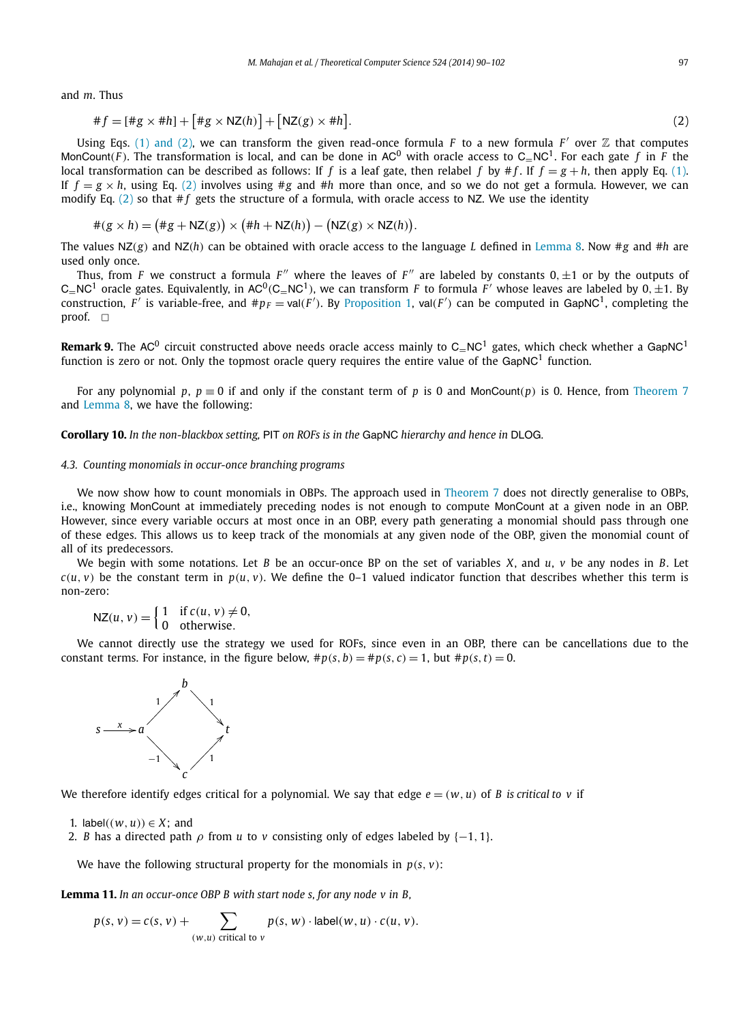<span id="page-7-0"></span>and *m*. Thus

$$
\#f = [\#g \times \#h] + [\#g \times \mathsf{NZ}(h)] + [\mathsf{NZ}(g) \times \#h].\tag{2}
$$

Using Eqs. [\(1\) and \(2\),](#page-6-0) we can transform the given read-once formula *F* to a new formula *F'* over  $\mathbb Z$  that computes MonCount(*F*). The transformation is local, and can be done in AC<sup>0</sup> with oracle access to C<sub>=</sub>NC<sup>1</sup>. For each gate *f* in *F* the local transformation can be described as follows: If *f* is a leaf gate, then relabel *f* by  $\#f$ . If  $f = g + h$ , then apply Eq. [\(1\).](#page-6-0) If  $f = g \times h$ , using Eq. (2) involves using #g and #h more than once, and so we do not get a formula. However, we can modify Eq.  $(2)$  so that  $#f$  gets the structure of a formula, with oracle access to NZ. We use the identity

$$
#(g \times h) = (*g + NZ(g)) \times (*h + NZ(h)) - (NZ(g) \times NZ(h)).
$$

The values NZ*(g)* and NZ*(h)* can be obtained with oracle access to the language *L* defined in [Lemma 8.](#page-6-0) Now #*g* and #*h* are used only once.

Thus, from *F* we construct a formula *F*<sup>"</sup> where the leaves of *F*<sup>"</sup> are labeled by constants 0,  $\pm 1$  or by the outputs of  $C=NC<sup>1</sup>$  oracle gates. Equivalently, in AC<sup>0</sup>(C<sub>=</sub>NC<sup>1</sup>), we can transform *F* to formula *F'* whose leaves are labeled by 0,  $\pm$ 1. By construction,  $F'$  is variable-free, and  $\#p_F = \text{val}(F')$ . By [Proposition 1,](#page-2-0)  $\text{val}(F')$  can be computed in GapNC<sup>1</sup>, completing the proof.  $\square$ 

**Remark 9.** The AC<sup>0</sup> circuit constructed above needs oracle access mainly to C $-NC<sup>1</sup>$  gates, which check whether a GapNC<sup>1</sup> function is zero or not. Only the topmost oracle query requires the entire value of the GapNC<sup>1</sup> function.

For any polynomial p,  $p \equiv 0$  if and only if the constant term of p is 0 and MonCount(p) is 0. Hence, from [Theorem 7](#page-6-0) and [Lemma 8,](#page-6-0) we have the following:

**Corollary 10.** *In the non-blackbox setting,* PIT *on ROFs is in the* GapNC *hierarchy and hence in* DLOG*.*

#### *4.3. Counting monomials in occur-once branching programs*

We now show how to count monomials in OBPs. The approach used in [Theorem 7](#page-6-0) does not directly generalise to OBPs, i.e., knowing MonCount at immediately preceding nodes is not enough to compute MonCount at a given node in an OBP. However, since every variable occurs at most once in an OBP, every path generating a monomial should pass through one of these edges. This allows us to keep track of the monomials at any given node of the OBP, given the monomial count of all of its predecessors.

We begin with some notations. Let *B* be an occur-once BP on the set of variables *X*, and *u*, *v* be any nodes in *B*. Let  $c(u, v)$  be the constant term in  $p(u, v)$ . We define the 0–1 valued indicator function that describes whether this term is non-zero:

 $NZ(u, v) = \begin{cases} 1 & \text{if } c(u, v) \neq 0, \\ 0 & \text{otherwise} \end{cases}$ 0 otherwise*.*

We cannot directly use the strategy we used for ROFs, since even in an OBP, there can be cancellations due to the constant terms. For instance, in the figure below,  $\#p(s, b) = \#p(s, c) = 1$ , but  $\#p(s, t) = 0$ .



We therefore identify edges critical for a polynomial. We say that edge  $e = (w, u)$  of *B* is critical to *v* if

1. label $((w, u)) \in X$ ; and

2. *B* has a directed path  $\rho$  from *u* to *v* consisting only of edges labeled by  $\{-1, 1\}$ .

We have the following structural property for the monomials in  $p(s, v)$ :

**Lemma 11.** *In an occur-once OBP B with start node s, for any node v in B,*

$$
p(s, v) = c(s, v) + \sum_{(w, u) \text{ critical to } v} p(s, w) \cdot \text{label}(w, u) \cdot c(u, v).
$$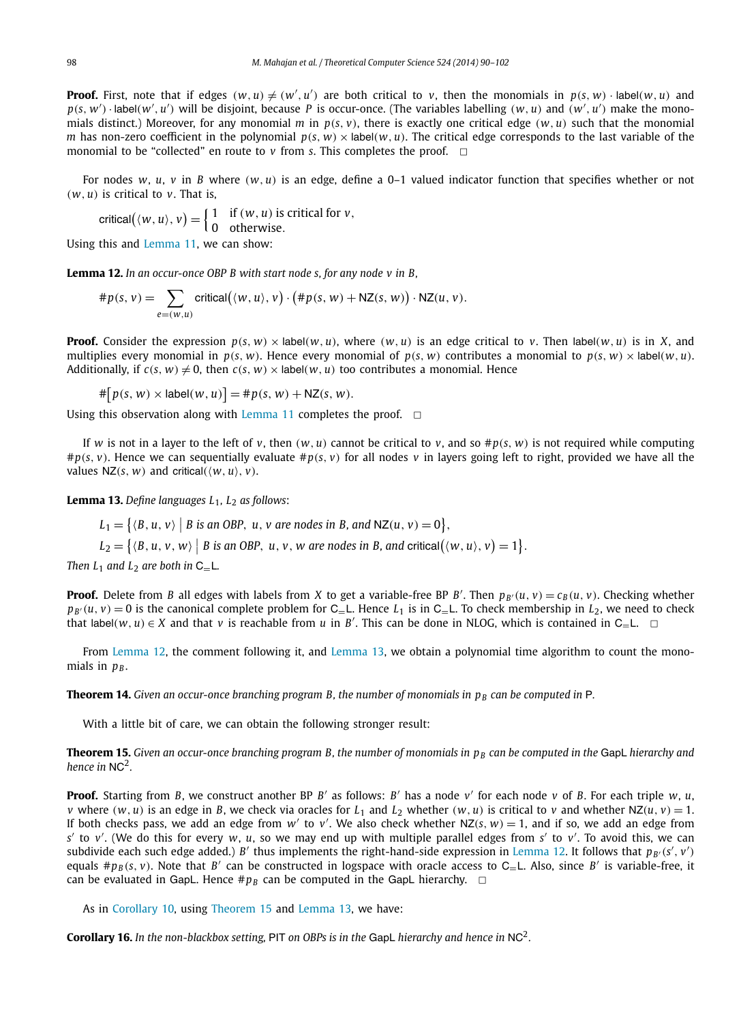<span id="page-8-0"></span>**Proof.** First, note that if edges  $(w, u) \neq (w', u')$  are both critical to v, then the monomials in  $p(s, w) \cdot$ label $(w, u)$  and  $p(s, w') \cdot$ label $(w', u')$  will be disjoint, because P is occur-once. (The variables labelling  $(w, u)$  and  $(w', u')$  make the monomials distinct.) Moreover, for any monomial *m* in  $p(s, v)$ , there is exactly one critical edge  $(w, u)$  such that the monomial *m* has non-zero coefficient in the polynomial  $p(s, w) \times$  label $(w, u)$ . The critical edge corresponds to the last variable of the monomial to be "collected" en route to  $\nu$  from *s*. This completes the proof.  $\Box$ 

For nodes *w*, *u*, *v* in *B* where *(w, u)* is an edge, define a 0–1 valued indicator function that specifies whether or not  $(w, u)$  is critical to  $v$ . That is,

$$
critical((w, u), v) = \begin{cases} 1 & \text{if } (w, u) \text{ is critical for } v, \\ 0 & \text{otherwise.} \end{cases}
$$

Using this and [Lemma 11,](#page-7-0) we can show:

**Lemma 12.** *In an occur-once OBP B with start node s, for any node v in B,*

$$
\#p(s, v) = \sum_{e=(w, u)} \text{critical}(\langle w, u \rangle, v) \cdot (\#p(s, w) + \mathsf{NZ}(s, w)) \cdot \mathsf{NZ}(u, v).
$$

**Proof.** Consider the expression  $p(s, w) \times |$ abel(w, u), where (w, u) is an edge critical to v. Then  $|abe|(w, u)$  is in X, and multiplies every monomial in  $p(s, w)$ . Hence every monomial of  $p(s, w)$  contributes a monomial to  $p(s, w) \times$  label(w, u). Additionally, if  $c(s, w) \neq 0$ , then  $c(s, w) \times$  label $(w, u)$  too contributes a monomial. Hence

 $\#\big[p(s, w) \times \text{label}(w, u)\big] = \#p(s, w) + \mathsf{NZ}(s, w).$ 

Using this observation along with [Lemma 11](#page-7-0) completes the proof.  $\Box$ 

If *w* is not in a layer to the left of *v*, then  $(w, u)$  cannot be critical to *v*, and so  $\#p(s, w)$  is not required while computing  $#p(s, v)$ . Hence we can sequentially evaluate  $#p(s, v)$  for all nodes v in layers going left to right, provided we have all the values  $NZ(s, w)$  and critical $(\langle w, u \rangle, v)$ .

**Lemma 13.** *Define languages L*1*, L*<sup>2</sup> *as follows*:

 $L_1 = \left\{ \langle B, u, v \rangle \mid B \text{ is an OBP}, u, v \text{ are nodes in } B \text{, and } \mathsf{NZ}(u, v) = 0 \right\},$ 

 $L_2 = \{ (B, u, v, w) \mid B \text{ is an OBP}, u, v, w \text{ are nodes in } B \text{, and critical}(\langle w, u \rangle, v) = 1 \}.$ 

*Then*  $L_1$  *and*  $L_2$  *are both in*  $C_$ <sub>*=*</sub> $L$ *.* 

**Proof.** Delete from B all edges with labels from X to get a variable-free BP B'. Then  $p_{B'}(u, v) = c_B(u, v)$ . Checking whether  $p_{B'}(u, v) = 0$  is the canonical complete problem for C<sub>=</sub>L. Hence *L*<sub>1</sub> is in C<sub>=</sub>L. To check membership in *L*<sub>2</sub>, we need to check that label $(w, u) \in X$  and that *v* is reachable from *u* in *B'*. This can be done in NLOG, which is contained in C<sub>=</sub>L.  $\Box$ 

From Lemma 12, the comment following it, and Lemma 13, we obtain a polynomial time algorithm to count the monomials in  $p_B$ .

**Theorem 14.** Given an occur-once branching program B, the number of monomials in  $p<sub>B</sub>$  can be computed in P.

With a little bit of care, we can obtain the following stronger result:

**Theorem 15.** Given an occur-once branching program B, the number of monomials in p<sub>B</sub> can be computed in the GapL hierarchy and *hence in* NC2*.*

**Proof.** Starting from *B*, we construct another BP *B'* as follows: *B'* has a node *v'* for each node *v* of *B*. For each triple *w*, *u*, v where  $(w, u)$  is an edge in B, we check via oracles for  $L_1$  and  $L_2$  whether  $(w, u)$  is critical to v and whether  $NZ(u, v) = 1$ . If both checks pass, we add an edge from  $w'$  to  $v'$ . We also check whether  $NZ(s, w) = 1$ , and if so, we add an edge from *s* to *v* . (We do this for every *w*, *u*, so we may end up with multiple parallel edges from *s* to *v* . To avoid this, we can subdivide each such edge added.) *B'* thus implements the right-hand-side expression in Lemma 12. It follows that  $p_{B'}(s', v')$ equals  $#p_B(s, v)$ . Note that *B'* can be constructed in logspace with oracle access to C<sub>=</sub>L. Also, since *B'* is variable-free, it can be evaluated in GapL. Hence  $\#p_B$  can be computed in the GapL hierarchy.  $\Box$ 

As in [Corollary 10,](#page-7-0) using Theorem 15 and Lemma 13, we have:

**Corollary 16.** *In the non-blackbox setting,* PIT *on OBPs is in the* GapL *hierarchy and hence in* NC2*.*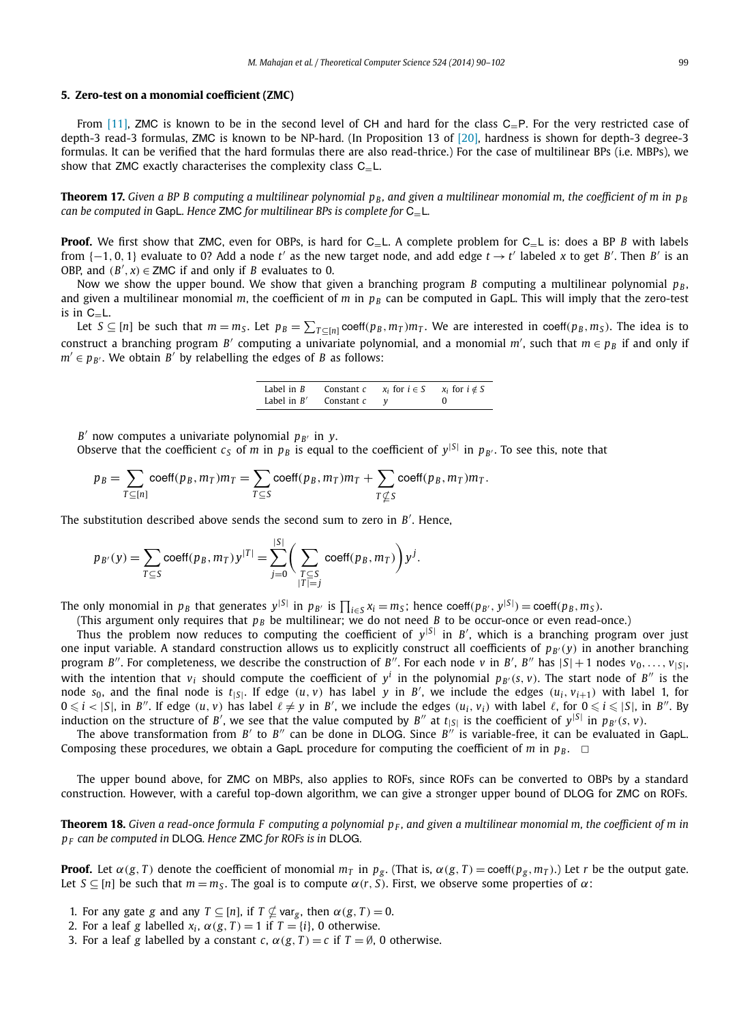#### <span id="page-9-0"></span>**5. Zero-test on a monomial coefficient (ZMC)**

From [\[11\],](#page-12-0) ZMC is known to be in the second level of CH and hard for the class C<sub>-P</sub>. For the very restricted case of depth-3 read-3 formulas, ZMC is known to be NP-hard. (In Proposition 13 of [\[20\],](#page-12-0) hardness is shown for depth-3 degree-3 formulas. It can be verified that the hard formulas there are also read-thrice.) For the case of multilinear BPs (i.e. MBPs), we show that ZMC exactly characterises the complexity class C<sub>-L</sub>.

**Theorem 17.** Given a BP B computing a multilinear polynomial  $p_B$ , and given a multilinear monomial m, the coefficient of m in  $p_B$ *can be computed in* GapL*. Hence* ZMC *for multilinear BPs is complete for* C=L*.*

**Proof.** We first show that ZMC, even for OBPs, is hard for C<sub>=L</sub>. A complete problem for C<sub>=L</sub> is: does a BP *B* with labels from {–1,0,1} evaluate to 0? Add a node t' as the new target node, and add edge  $t \to t'$  labeled x to get B'. Then B' is an OBP, and  $(B', x) \in \text{ZMC}$  if and only if *B* evaluates to 0.

Now we show the upper bound. We show that given a branching program *B* computing a multilinear polynomial  $p_B$ , and given a multilinear monomial *m*, the coefficient of *m* in  $p_B$  can be computed in GapL. This will imply that the zero-test is in  $C_{=}L$ .

Let  $S\subseteq[n]$  be such that  $m=m_S$ . Let  $p_B=\sum_{T\subseteq[n]}{\sf coeff}(p_B,m_T)m_T$ . We are interested in coeff $(p_B,m_S)$ . The idea is to construct a branching program *B'* computing a univariate polynomial, and a monomial m', such that  $m \in p_B$  if and only if  $m' \in p_{B'}$ . We obtain *B'* by relabelling the edges of *B* as follows:

| Label in $B$  | Constant c | $x_i$ for $i \in S$ | $x_i$ for $i \notin S$ |
|---------------|------------|---------------------|------------------------|
| Label in $B'$ | Constant c |                     |                        |

*B'* now computes a univariate polynomial  $p_{B'}$  in *y*.

Observe that the coefficient  $c_S$  of *m* in  $p_B$  is equal to the coefficient of  $y^{|S|}$  in  $p_{B'}$ . To see this, note that

 $p_B = \sum$ *T*⊆[*n*]  $\text{coeff}(p_B, m_T) m_T = \sum$ *T*⊆*S*  $\c{coeff}(p_B, m_T)m_T + \sum$ *T*-*S* coeff $(p_B, m_T)m_T$ .

|*S*|

The substitution described above sends the second sum to zero in *B* . Hence,

$$
p_{B'}(y) = \sum_{T \subseteq S} \text{coeff}(p_B, m_T) y^{|T|} = \sum_{j=0}^{|S|} \left( \sum_{\substack{T \subseteq S \\ |T| = j}} \text{coeff}(p_B, m_T) \right) y^j.
$$

The only monomial in  $p_B$  that generates  $y^{|S|}$  in  $p_{B'}$  is  $\prod_{i\in S} x_i = m_S$ ; hence coeff $(p_{B'}, y^{|S|}) = \text{coeff}(p_B, m_S)$ .

(This argument only requires that  $p_B$  be multilinear; we do not need *B* to be occur-once or even read-once.)

Thus the problem now reduces to computing the coefficient of  $y^{|S|}$  in  $B'$ , which is a branching program over just one input variable. A standard construction allows us to explicitly construct all coefficients of  $p_{B'}(y)$  in another branching program *B*''. For completeness, we describe the construction of *B*<sup>''</sup>. For each node *v* in *B*', *B*<sup>''</sup> has  $|S|+1$  nodes  $v_0, \ldots, v_{|S|}$ with the intention that  $v_i$  should compute the coefficient of  $y^i$  in the polynomial  $p_{B'}(s, v)$ . The start node of  $B''$  is the node s<sub>0</sub>, and the final node is  $t_{|S|}$ . If edge  $(u, v)$  has label y in B', we include the edges  $(u_i, v_{i+1})$  with label 1, for  $0 \leq i < |S|$ , in B''. If edge  $(u, v)$  has label  $\ell \neq y$  in B', we include the edges  $(u_i, v_i)$  with label  $\ell$ , for  $0 \leq i \leq |S|$ , in B''. By induction on the structure of *B'*, we see that the value computed by *B''* at  $t_{|S|}$  is the coefficient of  $y^{|S|}$  in  $p_{B'}(s, v)$ .

The above transformation from  $B'$  to  $B''$  can be done in DLOG. Since  $B''$  is variable-free, it can be evaluated in GapL. Composing these procedures, we obtain a GapL procedure for computing the coefficient of *m* in  $p_B$ .  $\Box$ 

The upper bound above, for ZMC on MBPs, also applies to ROFs, since ROFs can be converted to OBPs by a standard construction. However, with a careful top-down algorithm, we can give a stronger upper bound of DLOG for ZMC on ROFs.

**Theorem 18.** Given a read-once formula F computing a polynomial  $p_F$ , and given a multilinear monomial m, the coefficient of m in *pF can be computed in* DLOG*. Hence* ZMC *for ROFs is in* DLOG*.*

**Proof.** Let  $\alpha(g, T)$  denote the coefficient of monomial  $m_T$  in  $p_g$ . (That is,  $\alpha(g, T) = \text{coeff}(p_g, m_T)$ .) Let r be the output gate. Let  $S \subseteq [n]$  be such that  $m = m_S$ . The goal is to compute  $\alpha(r, S)$ . First, we observe some properties of  $\alpha$ :

- 1. For any gate *g* and any  $T \subseteq [n]$ , if  $T \nsubseteq \text{var}_g$ , then  $\alpha(g, T) = 0$ .
- 2. For a leaf *g* labelled  $x_i$ ,  $\alpha(g, T) = 1$  if  $T = \{i\}$ , 0 otherwise.
- 3. For a leaf *g* labelled by a constant *c*,  $\alpha$ (*g*, *T*) = *c* if *T* = Ø, 0 otherwise.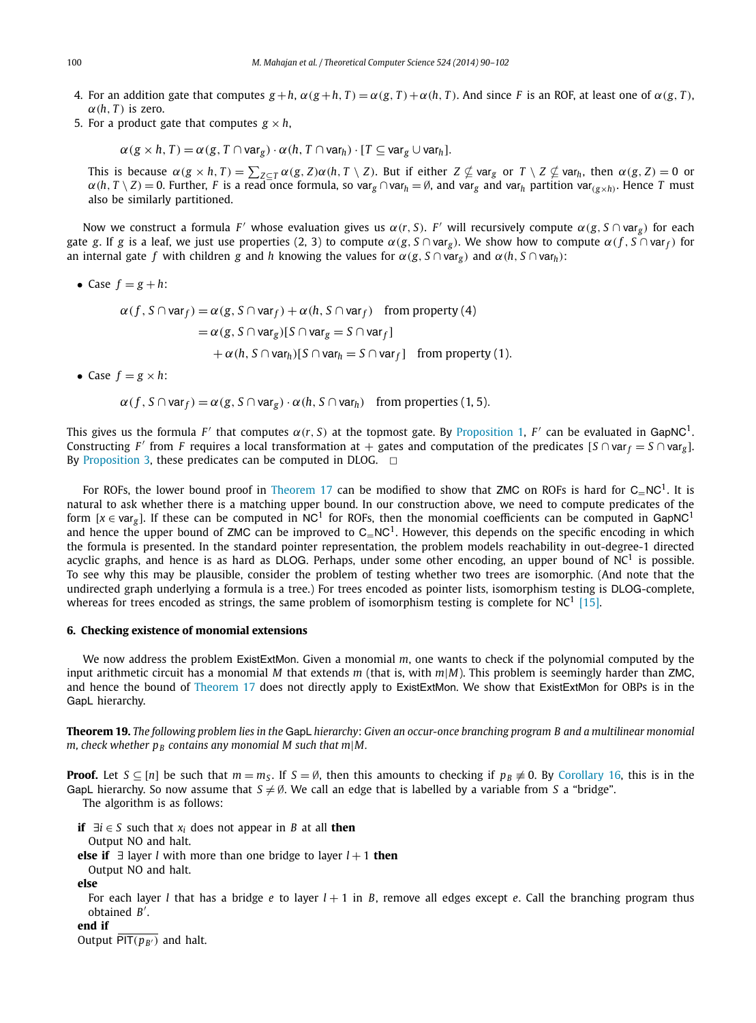- <span id="page-10-0"></span>4. For an addition gate that computes  $g + h$ ,  $\alpha(g + h, T) = \alpha(g, T) + \alpha(h, T)$ . And since F is an ROF, at least one of  $\alpha(g, T)$ ,  $\alpha(h, T)$  is zero.
- 5. For a product gate that computes  $g \times h$ ,

 $\alpha$  (*g* × *h*, *T*) =  $\alpha$  (*g*, *T*  $\cap$  var*g*)  $\cdot$   $\alpha$  (*h*, *T* $\cap$  var*h*)  $\cdot$  [*T* $\subseteq$  var*g*  $\cup$  var*h*].

This is because  $\alpha(g\times h,T)=\sum_{Z\subseteq T}\alpha(g,Z)\alpha(h,T\setminus Z).$  But if either  $Z\nsubseteq$  var $_g$  or  $T\setminus Z\nsubseteq$  var $_h,$  then  $\alpha(g,Z)=0$  or  $\alpha(h, T \setminus Z) = 0$ . Further, F is a read once formula, so varg  $\cap$  var<sub>h</sub> = Ø, and varg and var<sub>n</sub> partition var $(e \times h)$ . Hence T must also be similarly partitioned.

Now we construct a formula *F'* whose evaluation gives us  $α(r, S)$ . *F'* will recursively compute  $α(g, S ∩ var<sub>σ</sub>)$  for each gate *g*. If *g* is a leaf, we just use properties (2, 3) to compute  $\alpha(g, S \cap \text{var}_r)$ . We show how to compute  $\alpha(f, S \cap \text{var}_f)$  for an internal gate *f* with children *g* and *h* knowing the values for  $\alpha(g, S \cap \text{var}_g)$  and  $\alpha(h, S \cap \text{var}_h)$ :

• Case  $f = g + h$ :

 $\alpha(f, S \cap \text{var}_f) = \alpha(g, S \cap \text{var}_f) + \alpha(h, S \cap \text{var}_f)$  from property (4)  $= \alpha(g, S \cap \text{var}_g)[S \cap \text{var}_g = S \cap \text{var}_f]$  $+ \alpha(h, S \cap \text{var}_h)[S \cap \text{var}_h = S \cap \text{var}_f]$  from property (1).

• Case  $f = g \times h$ :

 $\alpha(f, S \cap \text{var}_f) = \alpha(g, S \cap \text{var}_g) \cdot \alpha(h, S \cap \text{var}_h)$  from properties (1, 5).

This gives us the formula *F'* that computes  $\alpha(r, S)$  at the topmost gate. By [Proposition 1,](#page-2-0) *F'* can be evaluated in GapNC<sup>1</sup>. Constructing *F'* from *F* requires a local transformation at + gates and computation of the predicates  $[S \cap var_f = S \cap var_g]$ . By [Proposition 3,](#page-3-0) these predicates can be computed in DLOG.  $\Box$ 

For ROFs, the lower bound proof in [Theorem 17](#page-9-0) can be modified to show that ZMC on ROFs is hard for  $C-NC<sup>1</sup>$ . It is natural to ask whether there is a matching upper bound. In our construction above, we need to compute predicates of the form  $[x \in var_g]$ . If these can be computed in NC<sup>1</sup> for ROFs, then the monomial coefficients can be computed in GapNC<sup>1</sup> and hence the upper bound of ZMC can be improved to  $C=NC<sup>1</sup>$ . However, this depends on the specific encoding in which the formula is presented. In the standard pointer representation, the problem models reachability in out-degree-1 directed acyclic graphs, and hence is as hard as DLOG. Perhaps, under some other encoding, an upper bound of  $NC<sup>1</sup>$  is possible. To see why this may be plausible, consider the problem of testing whether two trees are isomorphic. (And note that the undirected graph underlying a formula is a tree.) For trees encoded as pointer lists, isomorphism testing is DLOG-complete, whereas for trees encoded as strings, the same problem of isomorphism testing is complete for  $NC<sup>1</sup>$  [\[15\].](#page-12-0)

#### **6. Checking existence of monomial extensions**

We now address the problem ExistExtMon. Given a monomial *m*, one wants to check if the polynomial computed by the input arithmetic circuit has a monomial *M* that extends *m* (that is, with *m*|*M*). This problem is seemingly harder than ZMC, and hence the bound of [Theorem 17](#page-9-0) does not directly apply to ExistExtMon. We show that ExistExtMon for OBPs is in the GapL hierarchy.

**Theorem 19.** *The following problem lies in the* GapL *hierarchy*: *Given an occur-once branching program B and a multilinear monomial*  $m$ , check whether  $p_B$  contains any monomial M such that m|M.

**Proof.** Let  $S \subseteq [n]$  be such that  $m = m_S$ . If  $S = \emptyset$ , then this amounts to checking if  $p_B \neq 0$ . By [Corollary 16,](#page-8-0) this is in the GapL hierarchy. So now assume that  $S \neq \emptyset$ . We call an edge that is labelled by a variable from *S* a "bridge".

The algorithm is as follows:

- **if** ∃*i* ∈ *S* such that *xi* does not appear in *B* at all **then** Output NO and halt.
- **else if** ∃ layer *l* with more than one bridge to layer *l* + 1 **then**

Output NO and halt.

#### **else**

For each layer *l* that has a bridge *e* to layer *l* + 1 in *B*, remove all edges except *e*. Call the branching program thus obtained *B* .

### **end if**

Output  $\overline{PIT(p_{B'})}$  and halt.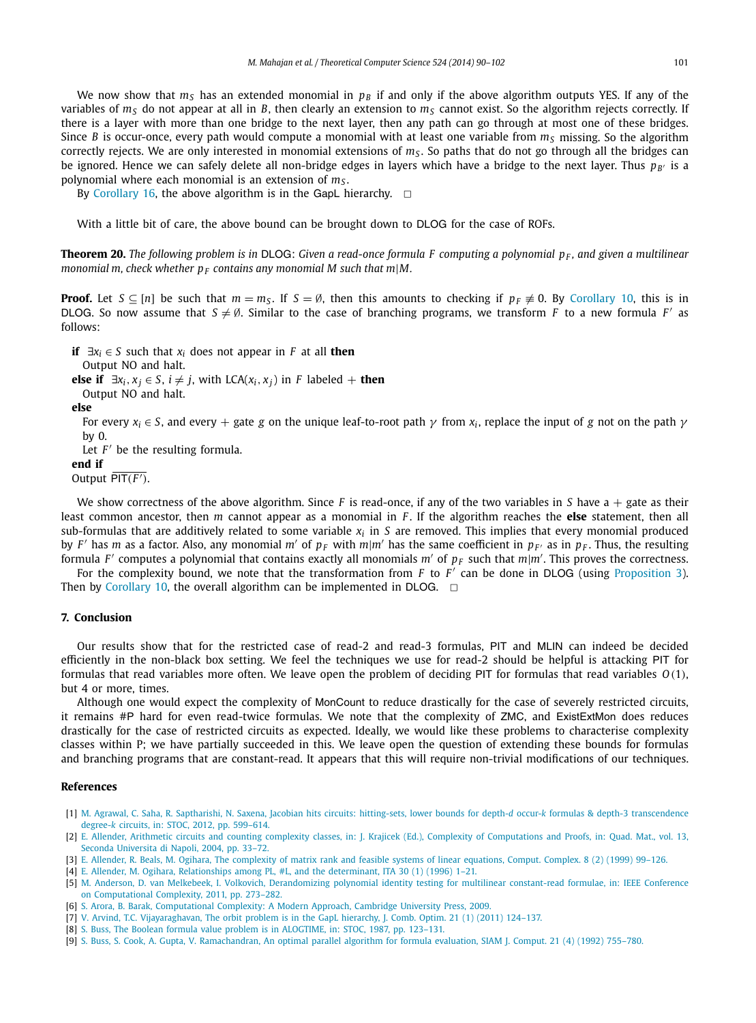<span id="page-11-0"></span>We now show that  $m<sub>S</sub>$  has an extended monomial in  $p<sub>B</sub>$  if and only if the above algorithm outputs YES. If any of the variables of  $m<sub>S</sub>$  do not appear at all in *B*, then clearly an extension to  $m<sub>S</sub>$  cannot exist. So the algorithm rejects correctly. If there is a layer with more than one bridge to the next layer, then any path can go through at most one of these bridges. Since *B* is occur-once, every path would compute a monomial with at least one variable from  $m_s$  missing. So the algorithm correctly rejects. We are only interested in monomial extensions of  $m<sub>s</sub>$ . So paths that do not go through all the bridges can be ignored. Hence we can safely delete all non-bridge edges in layers which have a bridge to the next layer. Thus  $p_{B'}$  is a polynomial where each monomial is an extension of *mS* .

By [Corollary 16,](#page-8-0) the above algorithm is in the GapL hierarchy.  $\Box$ 

With a little bit of care, the above bound can be brought down to DLOG for the case of ROFs.

**Theorem 20.** *The following problem is in* DLOG: *Given a read-once formula F computing a polynomial p<sub>F</sub>, and given a multilinear monomial m, check whether*  $p_F$  *contains any monomial M such that m|M.* 

**Proof.** Let  $S \subseteq [n]$  be such that  $m = m_S$ . If  $S = \emptyset$ , then this amounts to checking if  $p_F \neq 0$ . By [Corollary 10,](#page-7-0) this is in DLOG. So now assume that  $S \neq \emptyset$ . Similar to the case of branching programs, we transform *F* to a new formula *F'* as follows:

**if**  $\exists x_i \in S$  such that  $x_i$  does not appear in *F* at all **then** 

Output NO and halt.

**else if**  $\exists x_i, x_j \in S$ ,  $i \neq j$ , with LCA( $x_i, x_j$ ) in *F* labeled + **then** 

Output NO and halt.

**else**

For every  $x_i \in S$ , and every + gate *g* on the unique leaf-to-root path  $\gamma$  from  $x_i$ , replace the input of *g* not on the path  $\gamma$ by 0.

Let  $F'$  be the resulting formula.

#### **end if**

Output  $\overline{PIT(F')}$ .

We show correctness of the above algorithm. Since *F* is read-once, if any of the two variables in *S* have a + gate as their least common ancestor, then *m* cannot appear as a monomial in *F* . If the algorithm reaches the **else** statement, then all sub-formulas that are additively related to some variable *xi* in *S* are removed. This implies that every monomial produced by *F'* has *m* as a factor. Also, any monomial *m'* of  $p_F$  with  $m|m'$  has the same coefficient in  $p_F$  as in  $p_F$ . Thus, the resulting formula *F'* computes a polynomial that contains exactly all monomials *m'* of  $p_F$  such that  $m|m'$ . This proves the correctness.

For the complexity bound, we note that the transformation from *F* to *F'* can be done in DLOG (using [Proposition 3\)](#page-3-0). Then by [Corollary 10,](#page-7-0) the overall algorithm can be implemented in DLOG.  $\Box$ 

#### **7. Conclusion**

Our results show that for the restricted case of read-2 and read-3 formulas, PIT and MLIN can indeed be decided efficiently in the non-black box setting. We feel the techniques we use for read-2 should be helpful is attacking PIT for formulas that read variables more often. We leave open the problem of deciding PIT for formulas that read variables *O(*1*)*, but 4 or more, times.

Although one would expect the complexity of MonCount to reduce drastically for the case of severely restricted circuits, it remains #P hard for even read-twice formulas. We note that the complexity of ZMC, and ExistExtMon does reduces drastically for the case of restricted circuits as expected. Ideally, we would like these problems to characterise complexity classes within P; we have partially succeeded in this. We leave open the question of extending these bounds for formulas and branching programs that are constant-read. It appears that this will require non-trivial modifications of our techniques.

#### **References**

- [1] [M. Agrawal, C. Saha, R. Saptharishi, N. Saxena, Jacobian hits circuits: hitting-sets, lower bounds for depth-](http://refhub.elsevier.com/S0304-3975(14)00022-X/bib415353533132s1)*d* occur-*k* formulas & depth-3 transcendence degree-*k* [circuits, in: STOC, 2012, pp. 599–614.](http://refhub.elsevier.com/S0304-3975(14)00022-X/bib415353533132s1)
- [2] E. [Allender, Arithmetic circuits and counting complexity classes, in: J. Krajicek \(Ed.\), Complexity of Computations and Proofs, in: Quad. Mat., vol. 13,](http://refhub.elsevier.com/S0304-3975(14)00022-X/bib416C6C2D6172697468s1) [Seconda Universita di Napoli, 2004, pp. 33–72.](http://refhub.elsevier.com/S0304-3975(14)00022-X/bib416C6C2D6172697468s1)
- [3] E. [Allender, R. Beals, M. Ogihara, The complexity of matrix rank and feasible systems of linear equations, Comput. Complex. 8 \(2\) \(1999\) 99–126.](http://refhub.elsevier.com/S0304-3975(14)00022-X/bib41424Fs1)
- [4] E. [Allender, M. Ogihara, Relationships among PL, #L, and the determinant, ITA 30 \(1\) \(1996\) 1–21.](http://refhub.elsevier.com/S0304-3975(14)00022-X/bib414F3936s1)
- [5] M. [Anderson, D. van Melkebeek, I. Volkovich, Derandomizing polynomial identity testing for multilinear constant-read formulae, in: IEEE Conference](http://refhub.elsevier.com/S0304-3975(14)00022-X/bib616D763131s1) [on Computational Complexity, 2011, pp. 273–282.](http://refhub.elsevier.com/S0304-3975(14)00022-X/bib616D763131s1)
- [6] S. [Arora, B. Barak, Computational Complexity: A Modern Approach, Cambridge University Press, 2009.](http://refhub.elsevier.com/S0304-3975(14)00022-X/bib41423039s1)
- [7] V. [Arvind, T.C. Vijayaraghavan, The orbit problem is in the GapL hierarchy, J. Comb. Optim. 21 \(1\) \(2011\) 124–137.](http://refhub.elsevier.com/S0304-3975(14)00022-X/bib41563131s1)
- [8] S. [Buss, The Boolean formula value problem is in ALOGTIME, in: STOC, 1987, pp. 123–131.](http://refhub.elsevier.com/S0304-3975(14)00022-X/bib4275733837s1)
- [9] S. [Buss, S. Cook, A. Gupta, V. Ramachandran, An optimal parallel algorithm for formula evaluation, SIAM J. Comput. 21 \(4\) \(1992\) 755–780.](http://refhub.elsevier.com/S0304-3975(14)00022-X/bib424347523932s1)